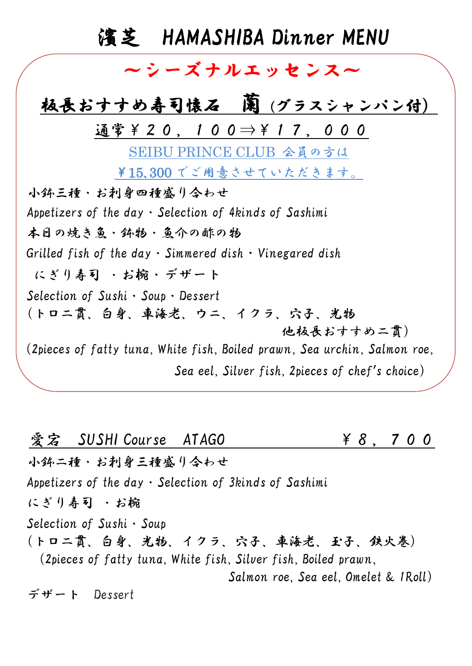## 濱芝 HAMASHIBA Dinner MENU

## ~シーズナルエッセンス~

## 板長おすすめ寿司懐石 蘭(グラスシャンパン付)

通常¥20,100⇒¥17,000

SEIBU PRINCE CLUB 会員の方は

¥15、300 でご用意させていただきます。

小鉢三種・お刺身四種盛り合わせ Appetizers of the day・Selection of 4kinds of Sashimi 本日の焼き魚・鉢物・魚介の酢の物 Grilled fish of the day  $\cdot$  Simmered dish  $\cdot$  Vinegared dish にぎり寿司 ・お椀・デザート Selection of Sushi・Soup・Dessert (トロ二貫、白身、車海老、ウニ、イクラ、穴子、光物 他板長おすすめ二貫) (2pieces of fatty tuna, White fish, Boiled prawn, Sea urchin, Salmon roe, Sea eel, Silver fish, 2pieces of chef's choice)

**愛宕 SUSHI Course ATAGO ¥ 8, 7 0 0** 小鉢二種・お刺身三種盛り合わせ Appetizers of the day・Selection of 3kinds of Sashimi にぎり寿司 ・お椀 Selection of Sushi・Soup (トロ二貫、白身、光物、イクラ、穴子、車海老、玉子、鉄火巻) (2pieces of fatty tuna, White fish, Silver fish, Boiled prawn, Salmon roe, Sea eel, Omelet & 1Roll)

デザート Dessert